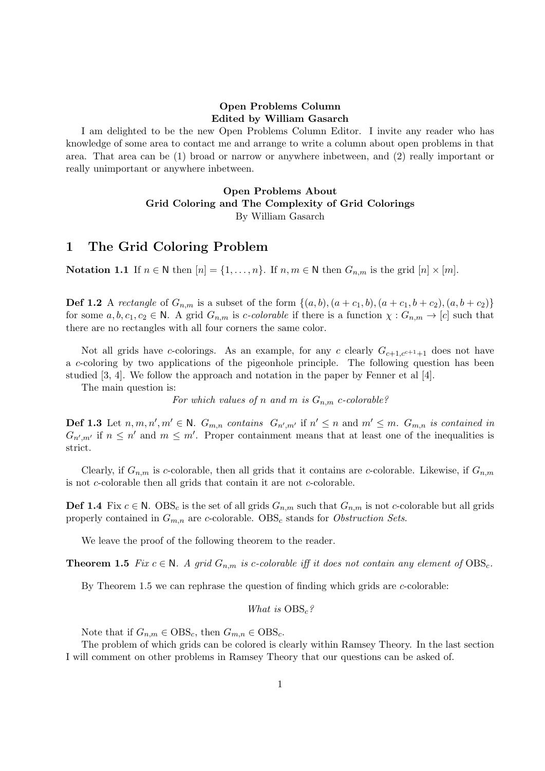## Open Problems Column Edited by William Gasarch

I am delighted to be the new Open Problems Column Editor. I invite any reader who has knowledge of some area to contact me and arrange to write a column about open problems in that area. That area can be (1) broad or narrow or anywhere inbetween, and (2) really important or really unimportant or anywhere inbetween.

### Open Problems About Grid Coloring and The Complexity of Grid Colorings By William Gasarch

# 1 The Grid Coloring Problem

Notation 1.1 If  $n \in \mathbb{N}$  then  $[n] = \{1, \ldots, n\}$ . If  $n, m \in \mathbb{N}$  then  $G_{n,m}$  is the grid  $[n] \times [m]$ .

**Def 1.2** A rectangle of  $G_{n,m}$  is a subset of the form  $\{(a, b), (a + c_1, b), (a + c_1, b + c_2), (a, b + c_2)\}$ for some  $a, b, c_1, c_2 \in \mathbb{N}$ . A grid  $G_{n,m}$  is c-colorable if there is a function  $\chi : G_{n,m} \to [c]$  such that there are no rectangles with all four corners the same color.

Not all grids have c-colorings. As an example, for any c clearly  $G_{c+1,c^{c+1}+1}$  does not have a c-coloring by two applications of the pigeonhole principle. The following question has been studied [3, 4]. We follow the approach and notation in the paper by Fenner et al [4].

The main question is:

For which values of n and m is  $G_{n,m}$  c-colorable?

**Def 1.3** Let  $n, m, n', m' \in \mathbb{N}$ .  $G_{m,n}$  contains  $G_{n',m'}$  if  $n' \leq n$  and  $m' \leq m$ .  $G_{m,n}$  is contained in  $G_{n',m'}$  if  $n \leq n'$  and  $m \leq m'$ . Proper containment means that at least one of the inequalities is strict.

Clearly, if  $G_{n,m}$  is c-colorable, then all grids that it contains are c-colorable. Likewise, if  $G_{n,m}$ is not c-colorable then all grids that contain it are not c-colorable.

**Def 1.4** Fix  $c \in \mathbb{N}$ . OBS<sub>c</sub> is the set of all grids  $G_{n,m}$  such that  $G_{n,m}$  is not c-colorable but all grids properly contained in  $G_{m,n}$  are c-colorable. OBS<sub>c</sub> stands for *Obstruction Sets.* 

We leave the proof of the following theorem to the reader.

**Theorem 1.5** Fix  $c \in \mathbb{N}$ . A grid  $G_{n,m}$  is c-colorable iff it does not contain any element of  $\text{OBS}_c$ .

By Theorem 1.5 we can rephrase the question of finding which grids are c-colorable:

### What is  $OBS<sub>c</sub>$ ?

Note that if  $G_{n,m} \in \text{OBS}_c$ , then  $G_{m,n} \in \text{OBS}_c$ .

The problem of which grids can be colored is clearly within Ramsey Theory. In the last section I will comment on other problems in Ramsey Theory that our questions can be asked of.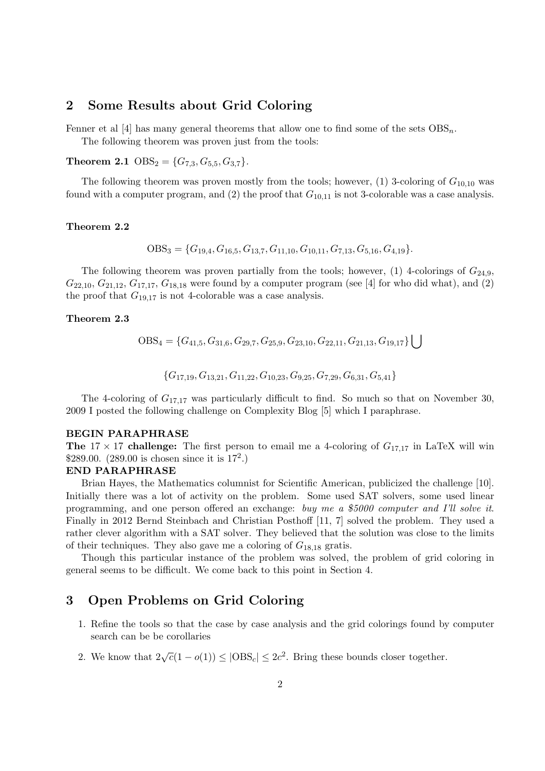## 2 Some Results about Grid Coloring

Fenner et al [4] has many general theorems that allow one to find some of the sets  $OBS_n$ .

The following theorem was proven just from the tools:

**Theorem 2.1** OBS<sub>2</sub> = { $G_{7,3}, G_{5,5}, G_{3,7}$  }.

The following theorem was proven mostly from the tools; however,  $(1)$  3-coloring of  $G_{10,10}$  was found with a computer program, and (2) the proof that  $G_{10,11}$  is not 3-colorable was a case analysis.

### Theorem 2.2

$$
OBS_3 = \{G_{19,4}, G_{16,5}, G_{13,7}, G_{11,10}, G_{10,11}, G_{7,13}, G_{5,16}, G_{4,19}\}.
$$

The following theorem was proven partially from the tools; however, (1) 4-colorings of  $G_{24,9}$ ,  $G_{22,10}, G_{21,12}, G_{17,17}, G_{18,18}$  were found by a computer program (see [4] for who did what), and (2) the proof that  $G_{19,17}$  is not 4-colorable was a case analysis.

### Theorem 2.3

$$
OBS_4 = \{G_{41,5}, G_{31,6}, G_{29,7}, G_{25,9}, G_{23,10}, G_{22,11}, G_{21,13}, G_{19,17}\} \cup \emptyset
$$

$$
\{G_{17,19}, G_{13,21}, G_{11,22}, G_{10,23}, G_{9,25}, G_{7,29}, G_{6,31}, G_{5,41}\}
$$

The 4-coloring of  $G_{17,17}$  was particularly difficult to find. So much so that on November 30, 2009 I posted the following challenge on Complexity Blog [5] which I paraphrase.

#### BEGIN PARAPHRASE

**The**  $17 \times 17$  challenge: The first person to email me a 4-coloring of  $G_{17,17}$  in LaTeX will win \$289.00.  $(289.00 \text{ is chosen since it is } 17^2.)$ 

#### END PARAPHRASE

Brian Hayes, the Mathematics columnist for Scientific American, publicized the challenge [10]. Initially there was a lot of activity on the problem. Some used SAT solvers, some used linear programming, and one person offered an exchange: buy me a \$5000 computer and I'll solve it. Finally in 2012 Bernd Steinbach and Christian Posthoff [11, 7] solved the problem. They used a rather clever algorithm with a SAT solver. They believed that the solution was close to the limits of their techniques. They also gave me a coloring of  $G_{18,18}$  gratis.

Though this particular instance of the problem was solved, the problem of grid coloring in general seems to be difficult. We come back to this point in Section 4.

# 3 Open Problems on Grid Coloring

- 1. Refine the tools so that the case by case analysis and the grid colorings found by computer search can be be corollaries
- 2. We know that  $2\sqrt{c}(1-o(1)) \leq |\text{OBS}_c| \leq 2c^2$ . Bring these bounds closer together.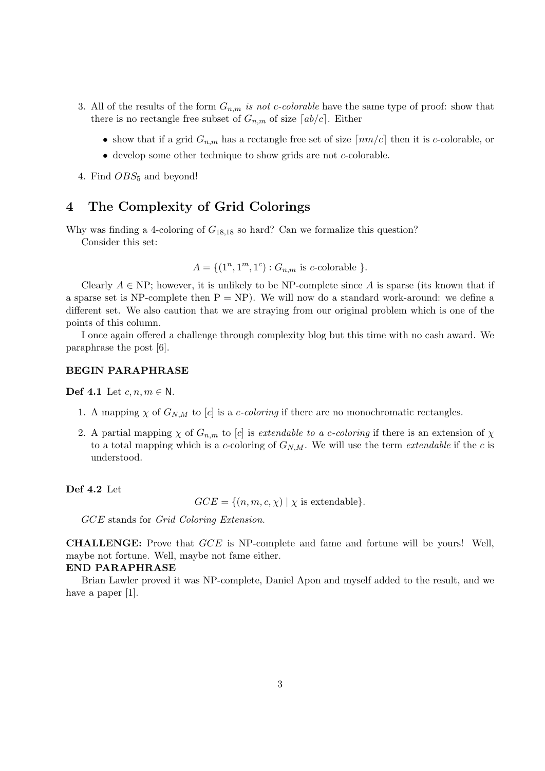- 3. All of the results of the form  $G_{n,m}$  is not c-colorable have the same type of proof: show that there is no rectangle free subset of  $G_{n,m}$  of size  $[ab/c]$ . Either
	- show that if a grid  $G_{n,m}$  has a rectangle free set of size  $\lceil nm/c \rceil$  then it is c-colorable, or
	- develop some other technique to show grids are not c-colorable.
- 4. Find  $OBS_5$  and beyond!

# 4 The Complexity of Grid Colorings

Why was finding a 4-coloring of  $G_{18,18}$  so hard? Can we formalize this question?

Consider this set:

 $A = \{(1^n, 1^m, 1^c) : G_{n,m} \text{ is } c\text{-colorable }\}.$ 

Clearly  $A \in \text{NP}$ ; however, it is unlikely to be NP-complete since A is sparse (its known that if a sparse set is NP-complete then  $P = NP$ ). We will now do a standard work-around: we define a different set. We also caution that we are straying from our original problem which is one of the points of this column.

I once again offered a challenge through complexity blog but this time with no cash award. We paraphrase the post [6].

### BEGIN PARAPHRASE

Def 4.1 Let  $c, n, m \in \mathbb{N}$ .

- 1. A mapping  $\chi$  of  $G_{N,M}$  to [c] is a *c-coloring* if there are no monochromatic rectangles.
- 2. A partial mapping  $\chi$  of  $G_{n,m}$  to [c] is extendable to a c-coloring if there is an extension of  $\chi$ to a total mapping which is a c-coloring of  $G_{N,M}$ . We will use the term *extendable* if the c is understood.

Def 4.2 Let

 $GCE = \{(n, m, c, \chi) | \chi \text{ is extendable}\}.$ 

GCE stands for Grid Coloring Extension.

CHALLENGE: Prove that GCE is NP-complete and fame and fortune will be yours! Well, maybe not fortune. Well, maybe not fame either.

#### END PARAPHRASE

Brian Lawler proved it was NP-complete, Daniel Apon and myself added to the result, and we have a paper [1].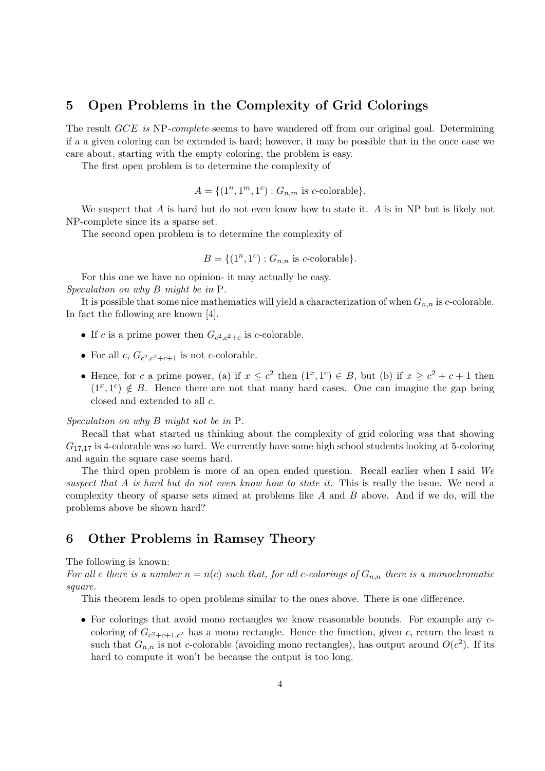# 5 Open Problems in the Complexity of Grid Colorings

The result GCE is NP-complete seems to have wandered off from our original goal. Determining if a a given coloring can be extended is hard; however, it may be possible that in the once case we care about, starting with the empty coloring, the problem is easy.

The first open problem is to determine the complexity of

$$
A = \{(1^n, 1^m, 1^c) : G_{n,m} \text{ is } c\text{-colorable}\}.
$$

We suspect that A is hard but do not even know how to state it. A is in NP but is likely not NP-complete since its a sparse set.

The second open problem is to determine the complexity of

$$
B = \{(1^n, 1^c) : G_{n,n} \text{ is } c\text{-colorable}\}.
$$

For this one we have no opinion- it may actually be easy. Speculation on why B might be in P.

It is possible that some nice mathematics will yield a characterization of when  $G_{n,n}$  is c-colorable. In fact the following are known [4].

- If c is a prime power then  $G_{c^2,c^2+c}$  is c-colorable.
- For all  $c, G_{c^2,c^2+c+1}$  is not c-colorable.
- Hence, for c a prime power, (a) if  $x \leq c^2$  then  $(1^x, 1^c) \in B$ , but (b) if  $x \geq c^2 + c + 1$  then  $(1^x, 1^c) \notin B$ . Hence there are not that many hard cases. One can imagine the gap being closed and extended to all c.

Speculation on why B might not be in P.

Recall that what started us thinking about the complexity of grid coloring was that showing  $G_{17,17}$  is 4-colorable was so hard. We currently have some high school students looking at 5-coloring and again the square case seems hard.

The third open problem is more of an open ended question. Recall earlier when I said We suspect that A is hard but do not even know how to state it. This is really the issue. We need a complexity theory of sparse sets aimed at problems like  $A$  and  $B$  above. And if we do, will the problems above be shown hard?

# 6 Other Problems in Ramsey Theory

#### The following is known:

For all c there is a number  $n = n(c)$  such that, for all c-colorings of  $G_{n,n}$  there is a monochromatic square.

This theorem leads to open problems similar to the ones above. There is one difference.

• For colorings that avoid mono rectangles we know reasonable bounds. For example any ccoloring of  $G_{c^2+c+1,c^2}$  has a mono rectangle. Hence the function, given c, return the least n such that  $G_{n,n}$  is not c-colorable (avoiding mono rectangles), has output around  $O(c^2)$ . If its hard to compute it won't be because the output is too long.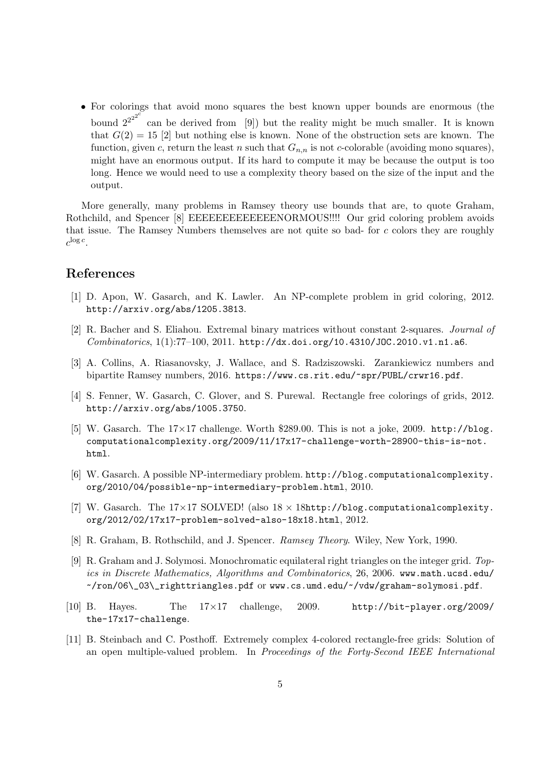• For colorings that avoid mono squares the best known upper bounds are enormous (the bound  $2^{2^{2^{2^{c}}}}$  can be derived from [9]) but the reality might be much smaller. It is known that  $G(2) = 15$  [2] but nothing else is known. None of the obstruction sets are known. The function, given c, return the least n such that  $G_{n,n}$  is not c-colorable (avoiding mono squares), might have an enormous output. If its hard to compute it may be because the output is too long. Hence we would need to use a complexity theory based on the size of the input and the output.

More generally, many problems in Ramsey theory use bounds that are, to quote Graham, Rothchild, and Spencer [8] EEEEEEEEEEEEENORMOUS!!!! Our grid coloring problem avoids that issue. The Ramsey Numbers themselves are not quite so bad- for c colors they are roughly  $c^{\log c}$ .

## References

- [1] D. Apon, W. Gasarch, and K. Lawler. An NP-complete problem in grid coloring, 2012. http://arxiv.org/abs/1205.3813.
- [2] R. Bacher and S. Eliahou. Extremal binary matrices without constant 2-squares. Journal of Combinatorics, 1(1):77–100, 2011. http://dx.doi.org/10.4310/JOC.2010.v1.n1.a6.
- [3] A. Collins, A. Riasanovsky, J. Wallace, and S. Radziszowski. Zarankiewicz numbers and bipartite Ramsey numbers, 2016. https://www.cs.rit.edu/~spr/PUBL/crwr16.pdf.
- [4] S. Fenner, W. Gasarch, C. Glover, and S. Purewal. Rectangle free colorings of grids, 2012. http://arxiv.org/abs/1005.3750.
- [5] W. Gasarch. The  $17\times17$  challenge. Worth \$289.00. This is not a joke, 2009. http://blog. computationalcomplexity.org/2009/11/17x17-challenge-worth-28900-this-is-not. html.
- [6] W. Gasarch. A possible NP-intermediary problem. http://blog.computationalcomplexity. org/2010/04/possible-np-intermediary-problem.html, 2010.
- [7] W. Gasarch. The  $17\times17$  SOLVED! (also  $18\times18$ http://blog.computationalcomplexity. org/2012/02/17x17-problem-solved-also-18x18.html, 2012.
- [8] R. Graham, B. Rothschild, and J. Spencer. Ramsey Theory. Wiley, New York, 1990.
- [9] R. Graham and J. Solymosi. Monochromatic equilateral right triangles on the integer grid. Topics in Discrete Mathematics, Algorithms and Combinatorics, 26, 2006. www.math.ucsd.edu/ ~/ron/06\\_03\\_righttriangles.pdf or www.cs.umd.edu/~/vdw/graham-solymosi.pdf.
- [10] B. Hayes. The 17×17 challenge, 2009. http://bit-player.org/2009/ the-17x17-challenge.
- [11] B. Steinbach and C. Posthoff. Extremely complex 4-colored rectangle-free grids: Solution of an open multiple-valued problem. In Proceedings of the Forty-Second IEEE International